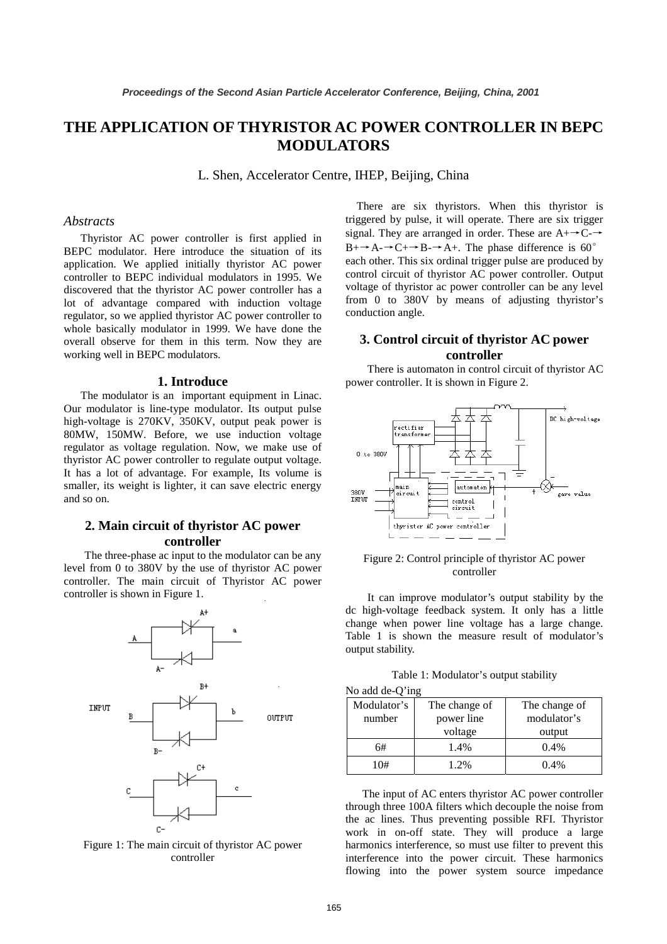# **THE APPLICATION OF THYRISTOR AC POWER CONTROLLER IN BEPC MODULATORS**

L. Shen, Accelerator Centre, IHEP, Beijing, China

### *Abstracts*

Thyristor AC power controller is first applied in BEPC modulator. Here introduce the situation of its application. We applied initially thyristor AC power controller to BEPC individual modulators in 1995. We discovered that the thyristor AC power controller has a lot of advantage compared with induction voltage regulator, so we applied thyristor AC power controller to whole basically modulator in 1999. We have done the overall observe for them in this term. Now they are working well in BEPC modulators.

#### **1. Introduce**

The modulator is an important equipment in Linac. Our modulator is line-type modulator. Its output pulse high-voltage is 270KV, 350KV, output peak power is 80MW, 150MW. Before, we use induction voltage regulator as voltage regulation. Now, we make use of thyristor AC power controller to regulate output voltage. It has a lot of advantage. For example, Its volume is smaller, its weight is lighter, it can save electric energy and so on.

# **2. Main circuit of thyristor AC power controller**

The three-phase ac input to the modulator can be any level from 0 to 380V by the use of thyristor AC power controller. The main circuit of Thyristor AC power controller is shown in Figure 1.



Figure 1: The main circuit of thyristor AC power controller

There are six thyristors. When this thyristor is triggered by pulse, it will operate. There are six trigger signal. They are arranged in order. These are  $A + C \rightarrow C$  $B + \rightarrow A - \rightarrow C + \rightarrow B - \rightarrow A +$ . The phase difference is 60<sup>o</sup> each other. This six ordinal trigger pulse are produced by control circuit of thyristor AC power controller. Output voltage of thyristor ac power controller can be any level from 0 to 380V by means of adjusting thyristor's conduction angle.

## **3. Control circuit of thyristor AC power controller**

There is automaton in control circuit of thyristor AC power controller. It is shown in Figure 2.



Figure 2: Control principle of thyristor AC power controller

It can improve modulator's output stability by the dc high-voltage feedback system. It only has a little change when power line voltage has a large change. Table 1 is shown the measure result of modulator's output stability.

Table 1: Modulator's output stability

|  |  | No add de-Q'ing |  |
|--|--|-----------------|--|
|--|--|-----------------|--|

| Modulator's | The change of | The change of |  |
|-------------|---------------|---------------|--|
| number      | power line    | modulator's   |  |
|             | voltage       | output        |  |
| 6#          | 1.4%          | 0.4%          |  |
| 10#         | 1.2%          | $0.4\%$       |  |

The input of AC enters thyristor AC power controller through three 100A filters which decouple the noise from the ac lines. Thus preventing possible RFI. Thyristor work in on-off state. They will produce a large harmonics interference, so must use filter to prevent this interference into the power circuit. These harmonics flowing into the power system source impedance